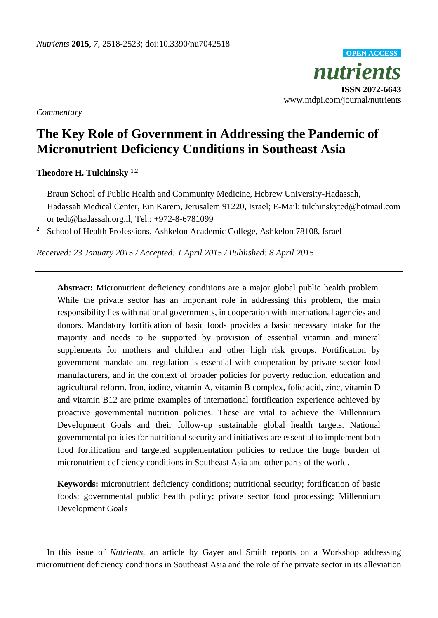*nutrients* **ISSN 2072-6643** www.mdpi.com/journal/nutrients **OPEN ACCESS**

*Commentary*

## **The Key Role of Government in Addressing the Pandemic of Micronutrient Deficiency Conditions in Southeast Asia**

**Theodore H. Tulchinsky 1,2**

- <sup>1</sup> Braun School of Public Health and Community Medicine, Hebrew University-Hadassah, Hadassah Medical Center, Ein Karem, Jerusalem 91220, Israel; E-Mail: tulchinskyted@hotmail.com or tedt@hadassah.org.il; Tel.: +972-8-6781099
- <sup>2</sup> School of Health Professions, Ashkelon Academic College, Ashkelon 78108, Israel

*Received: 23 January 2015 / Accepted: 1 April 2015 / Published: 8 April 2015*

**Abstract:** Micronutrient deficiency conditions are a major global public health problem. While the private sector has an important role in addressing this problem, the main responsibility lies with national governments, in cooperation with international agencies and donors. Mandatory fortification of basic foods provides a basic necessary intake for the majority and needs to be supported by provision of essential vitamin and mineral supplements for mothers and children and other high risk groups. Fortification by government mandate and regulation is essential with cooperation by private sector food manufacturers, and in the context of broader policies for poverty reduction, education and agricultural reform. Iron, iodine, vitamin A, vitamin B complex, folic acid, zinc, vitamin D and vitamin B12 are prime examples of international fortification experience achieved by proactive governmental nutrition policies. These are vital to achieve the Millennium Development Goals and their follow-up sustainable global health targets. National governmental policies for nutritional security and initiatives are essential to implement both food fortification and targeted supplementation policies to reduce the huge burden of micronutrient deficiency conditions in Southeast Asia and other parts of the world.

**Keywords:** micronutrient deficiency conditions; nutritional security; fortification of basic foods; governmental public health policy; private sector food processing; Millennium Development Goals

In this issue of *Nutrients*, an article by Gayer and Smith reports on a Workshop addressing micronutrient deficiency conditions in Southeast Asia and the role of the private sector in its alleviation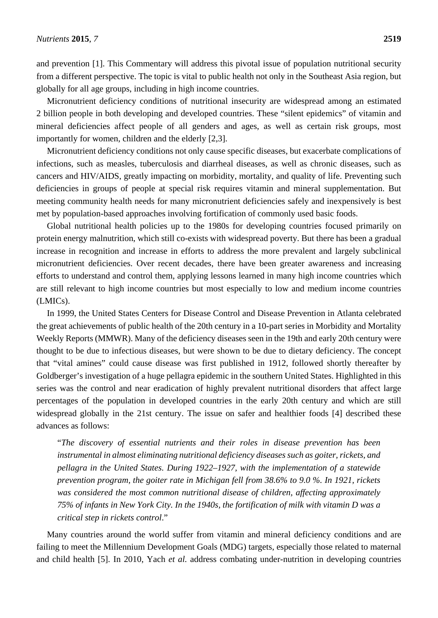and prevention [1]. This Commentary will address this pivotal issue of population nutritional security from a different perspective. The topic is vital to public health not only in the Southeast Asia region, but globally for all age groups, including in high income countries.

Micronutrient deficiency conditions of nutritional insecurity are widespread among an estimated 2 billion people in both developing and developed countries. These "silent epidemics" of vitamin and mineral deficiencies affect people of all genders and ages, as well as certain risk groups, most importantly for women, children and the elderly [2,3].

Micronutrient deficiency conditions not only cause specific diseases, but exacerbate complications of infections, such as measles, tuberculosis and diarrheal diseases, as well as chronic diseases, such as cancers and HIV/AIDS, greatly impacting on morbidity, mortality, and quality of life. Preventing such deficiencies in groups of people at special risk requires vitamin and mineral supplementation. But meeting community health needs for many micronutrient deficiencies safely and inexpensively is best met by population-based approaches involving fortification of commonly used basic foods.

Global nutritional health policies up to the 1980s for developing countries focused primarily on protein energy malnutrition, which still co-exists with widespread poverty. But there has been a gradual increase in recognition and increase in efforts to address the more prevalent and largely subclinical micronutrient deficiencies. Over recent decades, there have been greater awareness and increasing efforts to understand and control them, applying lessons learned in many high income countries which are still relevant to high income countries but most especially to low and medium income countries (LMICs).

In 1999, the United States Centers for Disease Control and Disease Prevention in Atlanta celebrated the great achievements of public health of the 20th century in a 10-part series in Morbidity and Mortality Weekly Reports (MMWR). Many of the deficiency diseases seen in the 19th and early 20th century were thought to be due to infectious diseases, but were shown to be due to dietary deficiency. The concept that "vital amines" could cause disease was first published in 1912, followed shortly thereafter by Goldberger's investigation of a huge pellagra epidemic in the southern United States. Highlighted in this series was the control and near eradication of highly prevalent nutritional disorders that affect large percentages of the population in developed countries in the early 20th century and which are still widespread globally in the 21st century. The issue on safer and healthier foods [4] described these advances as follows:

"*The discovery of essential nutrients and their roles in disease prevention has been instrumental in almost eliminating nutritional deficiency diseases such as goiter, rickets, and pellagra in the United States. During 1922–1927, with the implementation of a statewide prevention program, the goiter rate in Michigan fell from 38.6% to 9.0 %. In 1921, rickets was considered the most common nutritional disease of children, affecting approximately 75% of infants in New York City. In the 1940s, the fortification of milk with vitamin D was a critical step in rickets control*."

Many countries around the world suffer from vitamin and mineral deficiency conditions and are failing to meet the Millennium Development Goals (MDG) targets, especially those related to maternal and child health [5]. In 2010, Yach *et al.* address combating under-nutrition in developing countries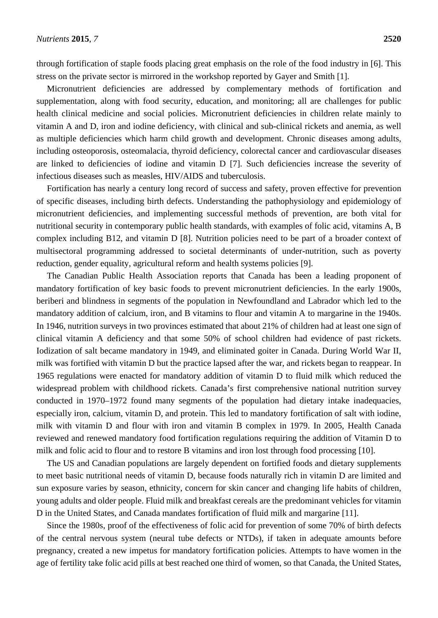through fortification of staple foods placing great emphasis on the role of the food industry in [6]. This stress on the private sector is mirrored in the workshop reported by Gayer and Smith [1].

Micronutrient deficiencies are addressed by complementary methods of fortification and supplementation, along with food security, education, and monitoring; all are challenges for public health clinical medicine and social policies. Micronutrient deficiencies in children relate mainly to vitamin A and D, iron and iodine deficiency, with clinical and sub-clinical rickets and anemia, as well as multiple deficiencies which harm child growth and development. Chronic diseases among adults, including osteoporosis, osteomalacia, thyroid deficiency, colorectal cancer and cardiovascular diseases are linked to deficiencies of iodine and vitamin D [7]. Such deficiencies increase the severity of infectious diseases such as measles, HIV/AIDS and tuberculosis.

Fortification has nearly a century long record of success and safety, proven effective for prevention of specific diseases, including birth defects. Understanding the pathophysiology and epidemiology of micronutrient deficiencies, and implementing successful methods of prevention, are both vital for nutritional security in contemporary public health standards, with examples of folic acid, vitamins A, B complex including B12, and vitamin D [8]. Nutrition policies need to be part of a broader context of multisectoral programming addressed to societal determinants of under-nutrition, such as poverty reduction, gender equality, agricultural reform and health systems policies [9].

The Canadian Public Health Association reports that Canada has been a leading proponent of mandatory fortification of key basic foods to prevent micronutrient deficiencies. In the early 1900s, beriberi and blindness in segments of the population in Newfoundland and Labrador which led to the mandatory addition of calcium, iron, and B vitamins to flour and vitamin A to margarine in the 1940s. In 1946, nutrition surveys in two provinces estimated that about 21% of children had at least one sign of clinical vitamin A deficiency and that some 50% of school children had evidence of past rickets. Iodization of salt became mandatory in 1949, and eliminated goiter in Canada. During World War II, milk was fortified with vitamin D but the practice lapsed after the war, and rickets began to reappear. In 1965 regulations were enacted for mandatory addition of vitamin D to fluid milk which reduced the widespread problem with childhood rickets. Canada's first comprehensive national nutrition survey conducted in 1970–1972 found many segments of the population had dietary intake inadequacies, especially iron, calcium, vitamin D, and protein. This led to mandatory fortification of salt with iodine, milk with vitamin D and flour with iron and vitamin B complex in 1979. In 2005, Health Canada reviewed and renewed mandatory food fortification regulations requiring the addition of Vitamin D to milk and folic acid to flour and to restore B vitamins and iron lost through food processing [10].

The US and Canadian populations are largely dependent on fortified foods and dietary supplements to meet basic nutritional needs of vitamin D, because foods naturally rich in vitamin D are limited and sun exposure varies by season, ethnicity, concern for skin cancer and changing life habits of children, young adults and older people. Fluid milk and breakfast cereals are the predominant vehicles for vitamin D in the United States, and Canada mandates fortification of fluid milk and margarine [11].

Since the 1980s, proof of the effectiveness of folic acid for prevention of some 70% of birth defects of the central nervous system (neural tube defects or NTDs), if taken in adequate amounts before pregnancy, created a new impetus for mandatory fortification policies. Attempts to have women in the age of fertility take folic acid pills at best reached one third of women, so that Canada, the United States,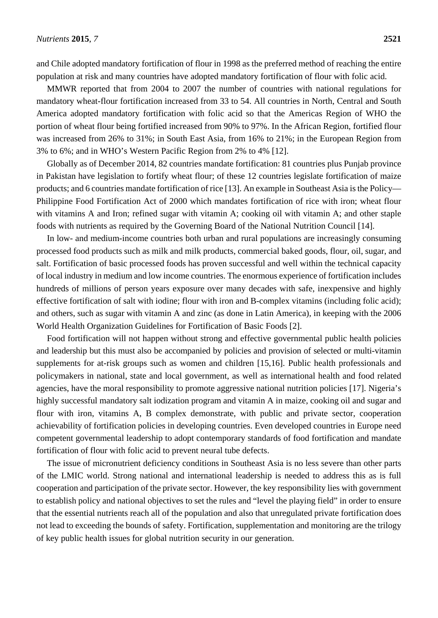and Chile adopted mandatory fortification of flour in 1998 as the preferred method of reaching the entire population at risk and many countries have adopted mandatory fortification of flour with folic acid.

MMWR reported that from 2004 to 2007 the number of countries with national regulations for mandatory wheat-flour fortification increased from 33 to 54. All countries in North, Central and South America adopted mandatory fortification with folic acid so that the Americas Region of WHO the portion of wheat flour being fortified increased from 90% to 97%. In the African Region, fortified flour was increased from 26% to 31%; in South East Asia, from 16% to 21%; in the European Region from 3% to 6%; and in WHO's Western Pacific Region from 2% to 4% [12].

Globally as of December 2014, 82 countries mandate fortification: 81 countries plus Punjab province in Pakistan have legislation to fortify wheat flour; of these 12 countries legislate fortification of maize products; and 6 countries mandate fortification of rice [13]. An example in Southeast Asia is the Policy— Philippine Food Fortification Act of 2000 which mandates fortification of rice with iron; wheat flour with vitamins A and Iron; refined sugar with vitamin A; cooking oil with vitamin A; and other staple foods with nutrients as required by the Governing Board of the National Nutrition Council [14].

In low- and medium-income countries both urban and rural populations are increasingly consuming processed food products such as milk and milk products, commercial baked goods, flour, oil, sugar, and salt. Fortification of basic processed foods has proven successful and well within the technical capacity of local industry in medium and low income countries. The enormous experience of fortification includes hundreds of millions of person years exposure over many decades with safe, inexpensive and highly effective fortification of salt with iodine; flour with iron and B-complex vitamins (including folic acid); and others, such as sugar with vitamin A and zinc (as done in Latin America), in keeping with the 2006 World Health Organization Guidelines for Fortification of Basic Foods [2].

Food fortification will not happen without strong and effective governmental public health policies and leadership but this must also be accompanied by policies and provision of selected or multi-vitamin supplements for at-risk groups such as women and children [15,16]. Public health professionals and policymakers in national, state and local government, as well as international health and food related agencies, have the moral responsibility to promote aggressive national nutrition policies [17]. Nigeria's highly successful mandatory salt iodization program and vitamin A in maize, cooking oil and sugar and flour with iron, vitamins A, B complex demonstrate, with public and private sector, cooperation achievability of fortification policies in developing countries. Even developed countries in Europe need competent governmental leadership to adopt contemporary standards of food fortification and mandate fortification of flour with folic acid to prevent neural tube defects.

The issue of micronutrient deficiency conditions in Southeast Asia is no less severe than other parts of the LMIC world. Strong national and international leadership is needed to address this as is full cooperation and participation of the private sector. However, the key responsibility lies with government to establish policy and national objectives to set the rules and "level the playing field" in order to ensure that the essential nutrients reach all of the population and also that unregulated private fortification does not lead to exceeding the bounds of safety. Fortification, supplementation and monitoring are the trilogy of key public health issues for global nutrition security in our generation.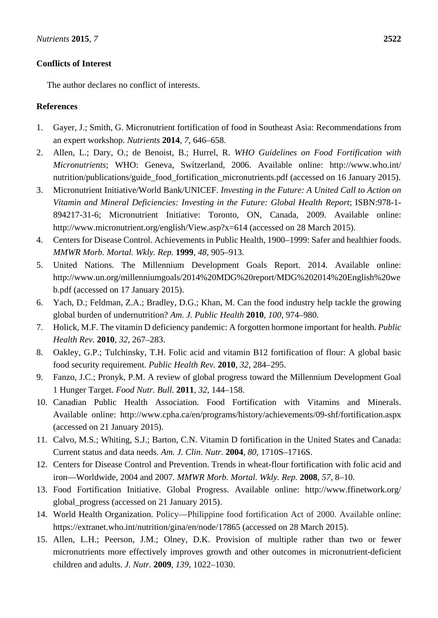## **Conflicts of Interest**

The author declares no conflict of interests.

## **References**

- 1. Gayer, J.; Smith, G. Micronutrient fortification of food in Southeast Asia: Recommendations from an expert workshop. *Nutrients* **2014**, *7*, 646–658.
- 2. Allen, L.; Dary, O.; de Benoist, B.; Hurrel, R. *WHO Guidelines on Food Fortification with Micronutrients*; WHO: Geneva, Switzerland, 2006. Available online: http://www.who.int/ nutrition/publications/guide\_food\_fortification\_micronutrients.pdf (accessed on 16 January 2015).
- 3. Micronutrient Initiative/World Bank/UNICEF. *Investing in the Future: A United Call to Action on Vitamin and Mineral Deficiencies: Investing in the Future: Global Health Report*; ISBN:978-1- 894217-31-6; Micronutrient Initiative: Toronto, ON, Canada, 2009. Available online: http://www.micronutrient.org/english/View.asp?x=614 (accessed on 28 March 2015).
- 4. Centers for Disease Control. Achievements in Public Health, 1900–1999: Safer and healthier foods. *MMWR Morb. Mortal. Wkly. Rep.* **1999**, *48*, 905–913.
- 5. United Nations. The Millennium Development Goals Report. 2014. Available online: http://www.un.org/millenniumgoals/2014%20MDG%20report/MDG%202014%20English%20we b.pdf (accessed on 17 January 2015).
- 6. Yach, D.; Feldman, Z.A.; Bradley, D.G.; Khan, M. Can the food industry help tackle the growing global burden of undernutrition? *Am. J. Public Health* **2010**, *100*, 974–980.
- 7. Holick, M.F. The vitamin D deficiency pandemic: A forgotten hormone important for health. *Public Health Rev.* **2010**, *32*, 267–283.
- 8. Oakley, G.P.; Tulchinsky, T.H. Folic acid and vitamin B12 fortification of flour: A global basic food security requirement. *Public Health Rev.* **2010**, *32*, 284–295.
- 9. Fanzo, J.C.; Pronyk, P.M. A review of global progress toward the Millennium Development Goal 1 Hunger Target. *Food Nutr. Bull.* **2011**, *32*, 144–158.
- 10. Canadian Public Health Association. Food Fortification with Vitamins and Minerals. Available online: http://www.cpha.ca/en/programs/history/achievements/09-shf/fortification.aspx (accessed on 21 January 2015).
- 11. Calvo, M.S.; Whiting, S.J.; Barton, C.N. Vitamin D fortification in the United States and Canada: Current status and data needs. *Am. J. Clin. Nutr.* **2004**, *80*, 1710S–1716S.
- 12. Centers for Disease Control and Prevention. Trends in wheat-flour fortification with folic acid and iron—Worldwide, 2004 and 2007. *MMWR Morb. Mortal. Wkly. Rep.* **2008**, *57*, 8–10.
- 13. Food Fortification Initiative. Global Progress. Available online: http://www.ffinetwork.org/ global\_progress (accessed on 21 January 2015).
- 14. World Health Organization. Policy—Philippine food fortification Act of 2000. Available online: https://extranet.who.int/nutrition/gina/en/node/17865 (accessed on 28 March 2015).
- 15. Allen, L.H.; Peerson, J.M.; Olney, D.K. Provision of multiple rather than two or fewer micronutrients more effectively improves growth and other outcomes in micronutrient-deficient children and adults. *J. Nutr.* **2009**, *139*, 1022–1030.